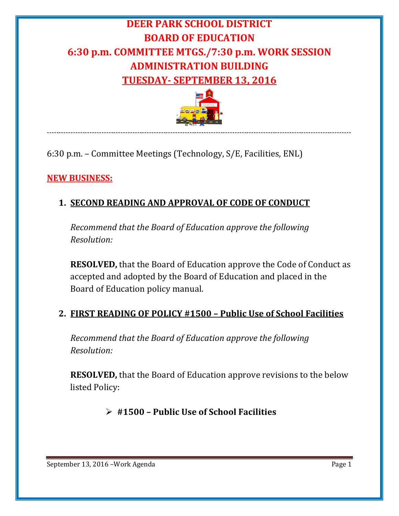# **DEER PARK SCHOOL DISTRICT BOARD OF EDUCATION 6:30 p.m. COMMITTEE MTGS./7:30 p.m. WORK SESSION ADMINISTRATION BUILDING TUESDAY- SEPTEMBER 13, 2016**



--------------------------------------------------------------------------------------------------------------------------------

6:30 p.m. – Committee Meetings (Technology, S/E, Facilities, ENL)

## **NEW BUSINESS:**

## **1. SECOND READING AND APPROVAL OF CODE OF CONDUCT**

*Recommend that the Board of Education approve the following Resolution:*

**RESOLVED,** that the Board of Education approve the Code of Conduct as accepted and adopted by the Board of Education and placed in the Board of Education policy manual.

### **2. FIRST READING OF POLICY #1500 – Public Use of School Facilities**

*Recommend that the Board of Education approve the following Resolution:*

**RESOLVED,** that the Board of Education approve revisions to the below listed Policy:

**#1500 – Public Use of School Facilities**